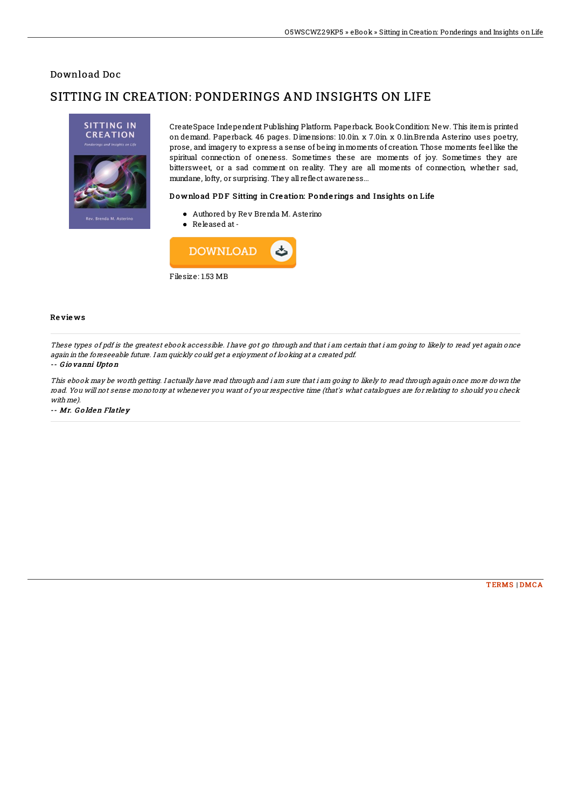## Download Doc

# SITTING IN CREATION: PONDERINGS AND INSIGHTS ON LIFE



CreateSpace Independent Publishing Platform. Paperback. BookCondition: New. This itemis printed on demand. Paperback. 46 pages. Dimensions: 10.0in. x 7.0in. x 0.1in.Brenda Asterino uses poetry, prose, and imagery to express a sense of being inmoments of creation. Those moments feel like the spiritual connection of oneness. Sometimes these are moments of joy. Sometimes they are bittersweet, or a sad comment on reality. They are all moments of connection, whether sad, mundane, lofty, or surprising. They all reflect awareness...

### Download PDF Sitting in Creation: Ponderings and Insights on Life

- Authored by Rev Brenda M. Asterino
- Released at-



#### Re vie ws

These types of pdf is the greatest ebook accessible. I have got go through and that i am certain that i am going to likely to read yet again once again in the foreseeable future. I am quickly could get <sup>a</sup> enjoyment of looking at <sup>a</sup> created pdf.

#### -- G io vanni Upto <sup>n</sup>

This ebook may be worth getting. I actually have read through and i am sure that i am going to likely to read through again once more down the road. You will not sense monotony at whenever you want of your respective time (that's what catalogues are for relating to should you check with me).

-- Mr. G <sup>o</sup> lden Flatle y